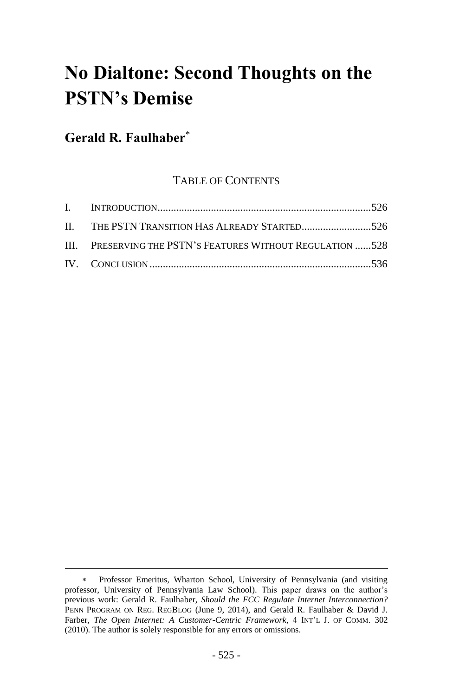# **No Dialtone: Second Thoughts on the PSTN's Demise**

# **Gerald R. Faulhaber**\*

 $\overline{a}$ 

## TABLE OF CONTENTS

| II. THE PSTN TRANSITION HAS ALREADY STARTED526             |  |
|------------------------------------------------------------|--|
| III. PRESERVING THE PSTN'S FEATURES WITHOUT REGULATION 528 |  |
|                                                            |  |

Professor Emeritus, Wharton School, University of Pennsylvania (and visiting professor, University of Pennsylvania Law School). This paper draws on the author's previous work: Gerald R. Faulhaber, *Should the FCC Regulate Internet Interconnection?*  PENN PROGRAM ON REG. REGBLOG (June 9, 2014), and Gerald R. Faulhaber & David J. Farber, *The Open Internet: A Customer-Centric Framework*, 4 INT'L J. OF COMM. 302 (2010). The author is solely responsible for any errors or omissions.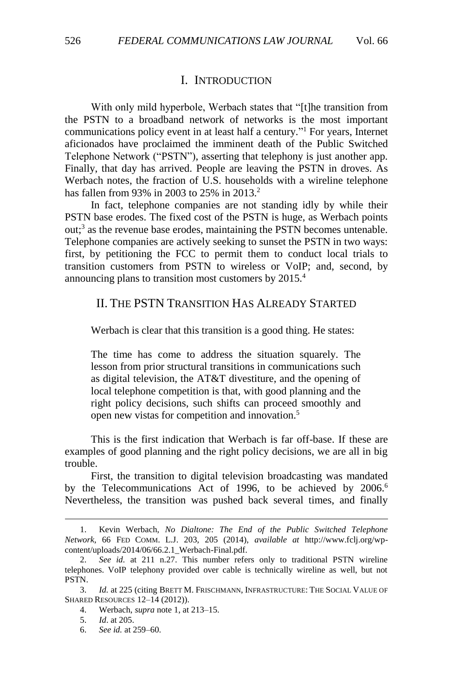<span id="page-1-0"></span>With only mild hyperbole, Werbach states that "[t]he transition from the PSTN to a broadband network of networks is the most important communications policy event in at least half a century." <sup>1</sup> For years, Internet aficionados have proclaimed the imminent death of the Public Switched Telephone Network ("PSTN"), asserting that telephony is just another app. Finally, that day has arrived. People are leaving the PSTN in droves. As Werbach notes, the fraction of U.S. households with a wireline telephone has fallen from 93% in 2003 to 25% in 2013.<sup>2</sup>

<span id="page-1-2"></span>I. INTRODUCTION

In fact, telephone companies are not standing idly by while their PSTN base erodes. The fixed cost of the PSTN is huge, as Werbach points out;<sup>3</sup> as the revenue base erodes, maintaining the PSTN becomes untenable. Telephone companies are actively seeking to sunset the PSTN in two ways: first, by petitioning the FCC to permit them to conduct local trials to transition customers from PSTN to wireless or VoIP; and, second, by announcing plans to transition most customers by 2015.<sup>4</sup>

### <span id="page-1-1"></span>II. THE PSTN TRANSITION HAS ALREADY STARTED

Werbach is clear that this transition is a good thing. He states:

The time has come to address the situation squarely. The lesson from prior structural transitions in communications such as digital television, the AT&T divestiture, and the opening of local telephone competition is that, with good planning and the right policy decisions, such shifts can proceed smoothly and open new vistas for competition and innovation.<sup>5</sup>

This is the first indication that Werbach is far off-base. If these are examples of good planning and the right policy decisions, we are all in big trouble.

First, the transition to digital television broadcasting was mandated by the Telecommunications Act of 1996, to be achieved by 2006.<sup>6</sup> Nevertheless, the transition was pushed back several times, and finally

<sup>1.</sup> Kevin Werbach, *No Dialtone: The End of the Public Switched Telephone Network*, 66 FED COMM. L.J. 203, 205 (2014), *available at* http://www.fclj.org/wpcontent/uploads/2014/06/66.2.1\_Werbach-Final.pdf.

<sup>2.</sup> *See id.* at 211 n.27. This number refers only to traditional PSTN wireline telephones. VoIP telephony provided over cable is technically wireline as well, but not PSTN.

<sup>3.</sup> *Id.* at 225 (citing BRETT M. FRISCHMANN, INFRASTRUCTURE: THE SOCIAL VALUE OF SHARED RESOURCES 12–14 (2012)).

<sup>4.</sup> Werbach, *supra* note [1,](#page-1-2) at 213–15.

<sup>5.</sup> *Id*. at 205.

<sup>6.</sup> *See id.* at 259–60.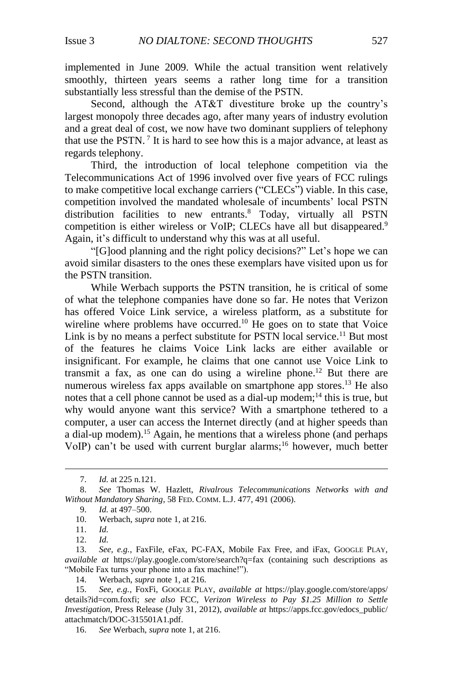implemented in June 2009. While the actual transition went relatively smoothly, thirteen years seems a rather long time for a transition substantially less stressful than the demise of the PSTN.

Second, although the AT&T divestiture broke up the country's largest monopoly three decades ago, after many years of industry evolution and a great deal of cost, we now have two dominant suppliers of telephony that use the PSTN.<sup>7</sup> It is hard to see how this is a major advance, at least as regards telephony.

Third, the introduction of local telephone competition via the Telecommunications Act of 1996 involved over five years of FCC rulings to make competitive local exchange carriers ("CLECs") viable. In this case, competition involved the mandated wholesale of incumbents' local PSTN distribution facilities to new entrants.<sup>8</sup> Today, virtually all PSTN competition is either wireless or VoIP; CLECs have all but disappeared.<sup>9</sup> Again, it's difficult to understand why this was at all useful.

"[G]ood planning and the right policy decisions?" Let's hope we can avoid similar disasters to the ones these exemplars have visited upon us for the PSTN transition.

While Werbach supports the PSTN transition, he is critical of some of what the telephone companies have done so far. He notes that Verizon has offered Voice Link service, a wireless platform, as a substitute for wireline where problems have occurred.<sup>10</sup> He goes on to state that Voice Link is by no means a perfect substitute for PSTN local service.<sup>11</sup> But most of the features he claims Voice Link lacks are either available or insignificant. For example, he claims that one cannot use Voice Link to transmit a fax, as one can do using a wireline phone.<sup>12</sup> But there are numerous wireless fax apps available on smartphone app stores.<sup>13</sup> He also notes that a cell phone cannot be used as a dial-up modem;<sup>14</sup> this is true, but why would anyone want this service? With a smartphone tethered to a computer, a user can access the Internet directly (and at higher speeds than a dial-up modem).<sup>15</sup> Again, he mentions that a wireless phone (and perhaps VoIP) can't be used with current burglar alarms;<sup>16</sup> however, much better

<sup>7.</sup> *Id.* at 225 n.121.

<sup>8.</sup> *See* Thomas W. Hazlett, *Rivalrous Telecommunications Networks with and Without Mandatory Sharing*, 58 FED. COMM. L.J. 477, 491 (2006).

<sup>9.</sup> *Id.* at 497–500.

<sup>10.</sup> Werbach, *supra* note [1,](#page-1-2) at 216.

<sup>11.</sup> *Id.*

<sup>12.</sup> *Id.*

<sup>13.</sup> *See, e.g.*, FaxFile, eFax, PC-FAX, Mobile Fax Free, and iFax, GOOGLE PLAY, *available at* https://play.google.com/store/search?q=fax (containing such descriptions as "Mobile Fax turns your phone into a fax machine!").

<sup>14.</sup> Werbach, *supra* note 1, at 216.

<sup>15.</sup> *See, e.g.*, FoxFi, GOOGLE PLAY, *available at* https://play.google.com/store/apps/ details?id=com.foxfi; *see also* FCC, *Verizon Wireless to Pay \$1.25 Million to Settle Investigation*, Press Release (July 31, 2012), *available at* https://apps.fcc.gov/edocs\_public/ attachmatch/DOC-315501A1.pdf.

<sup>16.</sup> *See* Werbach, *supra* note 1, at 216.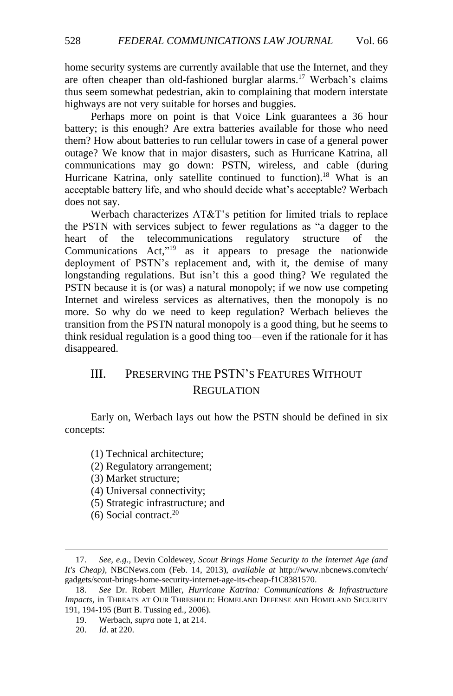home security systems are currently available that use the Internet, and they are often cheaper than old-fashioned burglar alarms.<sup>17</sup> Werbach's claims thus seem somewhat pedestrian, akin to complaining that modern interstate highways are not very suitable for horses and buggies.

Perhaps more on point is that Voice Link guarantees a 36 hour battery; is this enough? Are extra batteries available for those who need them? How about batteries to run cellular towers in case of a general power outage? We know that in major disasters, such as Hurricane Katrina, all communications may go down: PSTN, wireless, and cable (during Hurricane Katrina, only satellite continued to function).<sup>18</sup> What is an acceptable battery life, and who should decide what's acceptable? Werbach does not say.

Werbach characterizes AT&T's petition for limited trials to replace the PSTN with services subject to fewer regulations as "a dagger to the heart of the telecommunications regulatory structure of the Communications Act,"<sup>19</sup> as it appears to presage the nationwide deployment of PSTN's replacement and, with it, the demise of many longstanding regulations. But isn't this a good thing? We regulated the PSTN because it is (or was) a natural monopoly; if we now use competing Internet and wireless services as alternatives, then the monopoly is no more. So why do we need to keep regulation? Werbach believes the transition from the PSTN natural monopoly is a good thing, but he seems to think residual regulation is a good thing too—even if the rationale for it has disappeared.

## <span id="page-3-0"></span>III. PRESERVING THE PSTN'S FEATURES WITHOUT **REGULATION**

Early on, Werbach lays out how the PSTN should be defined in six concepts:

(1) Technical architecture;

- (3) Market structure;
- (4) Universal connectivity;
- (5) Strategic infrastructure; and
- (6) Social contract. 20

<sup>(2)</sup> Regulatory arrangement;

<sup>17.</sup> *See, e.g.*, Devin Coldewey, *Scout Brings Home Security to the Internet Age (and It's Cheap)*, NBCNews.com (Feb. 14, 2013), *available at* http://www.nbcnews.com/tech/ gadgets/scout-brings-home-security-internet-age-its-cheap-f1C8381570.

<sup>18.</sup> *See* Dr. Robert Miller, *Hurricane Katrina: Communications & Infrastructure Impacts*, in THREATS AT OUR THRESHOLD: HOMELAND DEFENSE AND HOMELAND SECURITY 191, 194-195 (Burt B. Tussing ed., 2006).

<sup>19.</sup> Werbach, *supra* note 1, at 214.

<sup>20.</sup> *Id*. at 220.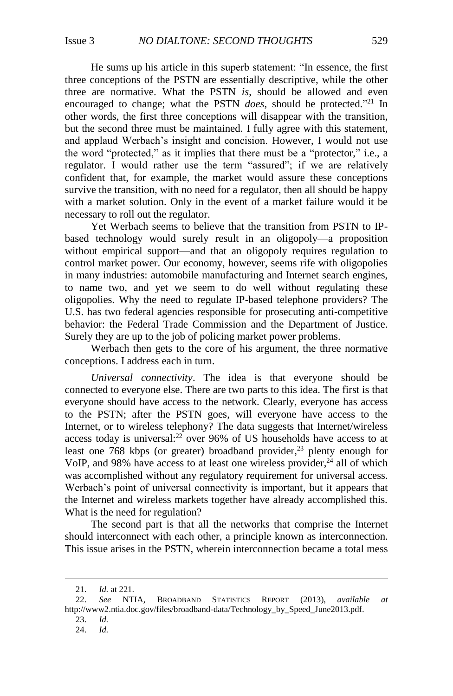He sums up his article in this superb statement: "In essence, the first three conceptions of the PSTN are essentially descriptive, while the other three are normative. What the PSTN *is*, should be allowed and even encouraged to change; what the PSTN *does*, should be protected." <sup>21</sup> In other words, the first three conceptions will disappear with the transition, but the second three must be maintained. I fully agree with this statement, and applaud Werbach's insight and concision. However, I would not use the word "protected," as it implies that there must be a "protector," i.e., a regulator. I would rather use the term "assured"; if we are relatively confident that, for example, the market would assure these conceptions survive the transition, with no need for a regulator, then all should be happy with a market solution. Only in the event of a market failure would it be necessary to roll out the regulator.

Yet Werbach seems to believe that the transition from PSTN to IPbased technology would surely result in an oligopoly—a proposition without empirical support—and that an oligopoly requires regulation to control market power. Our economy, however, seems rife with oligopolies in many industries: automobile manufacturing and Internet search engines, to name two, and yet we seem to do well without regulating these oligopolies. Why the need to regulate IP-based telephone providers? The U.S. has two federal agencies responsible for prosecuting anti-competitive behavior: the Federal Trade Commission and the Department of Justice. Surely they are up to the job of policing market power problems.

Werbach then gets to the core of his argument, the three normative conceptions. I address each in turn.

*Universal connectivity*. The idea is that everyone should be connected to everyone else. There are two parts to this idea. The first is that everyone should have access to the network. Clearly, everyone has access to the PSTN; after the PSTN goes, will everyone have access to the Internet, or to wireless telephony? The data suggests that Internet/wireless access today is universal: <sup>22</sup> over 96% of US households have access to at least one 768 kbps (or greater) broadband provider,<sup>23</sup> plenty enough for VoIP, and 98% have access to at least one wireless provider, $24$  all of which was accomplished without any regulatory requirement for universal access. Werbach's point of universal connectivity is important, but it appears that the Internet and wireless markets together have already accomplished this. What is the need for regulation?

The second part is that all the networks that comprise the Internet should interconnect with each other, a principle known as interconnection. This issue arises in the PSTN, wherein interconnection became a total mess

- 23. *Id.*
- 24. *Id.*

<sup>21.</sup> *Id.* at 221.

<sup>22.</sup> *See* NTIA, BROADBAND STATISTICS REPORT (2013), *available at* http://www2.ntia.doc.gov/files/broadband-data/Technology\_by\_Speed\_June2013.pdf.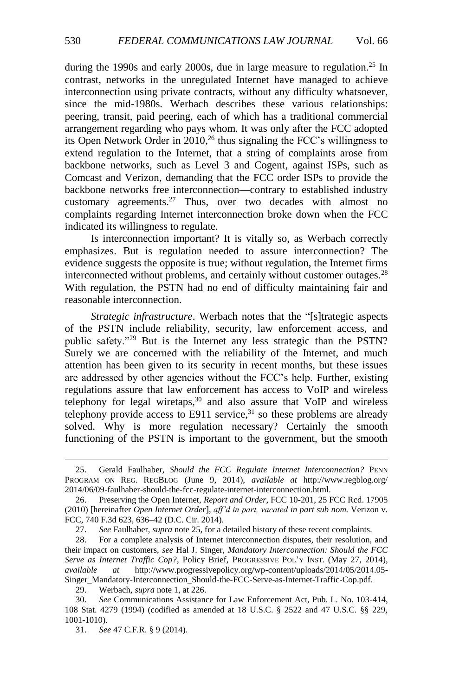<span id="page-5-1"></span><span id="page-5-0"></span>during the 1990s and early 2000s, due in large measure to regulation.<sup>25</sup> In contrast, networks in the unregulated Internet have managed to achieve interconnection using private contracts, without any difficulty whatsoever, since the mid-1980s. Werbach describes these various relationships: peering, transit, paid peering, each of which has a traditional commercial arrangement regarding who pays whom. It was only after the FCC adopted its Open Network Order in 2010, <sup>26</sup> thus signaling the FCC's willingness to extend regulation to the Internet, that a string of complaints arose from backbone networks, such as Level 3 and Cogent, against ISPs, such as Comcast and Verizon, demanding that the FCC order ISPs to provide the backbone networks free interconnection—contrary to established industry customary agreements.<sup>27</sup> Thus, over two decades with almost no complaints regarding Internet interconnection broke down when the FCC indicated its willingness to regulate.

Is interconnection important? It is vitally so, as Werbach correctly emphasizes. But is regulation needed to assure interconnection? The evidence suggests the opposite is true; without regulation, the Internet firms interconnected without problems, and certainly without customer outages.<sup>28</sup> With regulation, the PSTN had no end of difficulty maintaining fair and reasonable interconnection.

*Strategic infrastructure*. Werbach notes that the "[s]trategic aspects of the PSTN include reliability, security, law enforcement access, and public safety."<sup>29</sup> But is the Internet any less strategic than the PSTN? Surely we are concerned with the reliability of the Internet, and much attention has been given to its security in recent months, but these issues are addressed by other agencies without the FCC's help. Further, existing regulations assure that law enforcement has access to VoIP and wireless telephony for legal wiretaps, $30$  and also assure that VoIP and wireless telephony provide access to E911 service,  $31$  so these problems are already solved. Why is more regulation necessary? Certainly the smooth functioning of the PSTN is important to the government, but the smooth

<sup>25.</sup> Gerald Faulhaber, *Should the FCC Regulate Internet Interconnection?* PENN PROGRAM ON REG. REGBLOG (June 9, 2014), *available at* http://www.regblog.org/ 2014/06/09-faulhaber-should-the-fcc-regulate-internet-interconnection.html.

<sup>26.</sup> Preserving the Open Internet, *Report and Order*, FCC 10-201, 25 FCC Rcd. 17905 (2010) [hereinafter *Open Internet Order*], *aff'd in part, vacated in part sub nom.* Verizon v. FCC, 740 F.3d 623, 636–42 (D.C. Cir. 2014).

<sup>27.</sup> *See* Faulhaber, *supra* note [25,](#page-5-0) for a detailed history of these recent complaints.

<sup>28.</sup> For a complete analysis of Internet interconnection disputes, their resolution, and their impact on customers, *see* Hal J. Singer, *Mandatory Interconnection: Should the FCC Serve as Internet Traffic Cop?*, Policy Brief, PROGRESSIVE POL'Y INST. (May 27, 2014), *available at* http://www.progressivepolicy.org/wp-content/uploads/2014/05/2014.05- Singer\_Mandatory-Interconnection\_Should-the-FCC-Serve-as-Internet-Traffic-Cop.pdf.

<sup>29.</sup> Werbach, *supra* note [1,](#page-1-2) at 226.

<sup>30.</sup> *See* Communications Assistance for Law Enforcement Act, Pub. L. No. 103-414, 108 Stat. 4279 (1994) (codified as amended at 18 U.S.C. § 2522 and 47 U.S.C. §§ 229, 1001-1010).

<sup>31.</sup> *See* 47 C.F.R. § 9 (2014).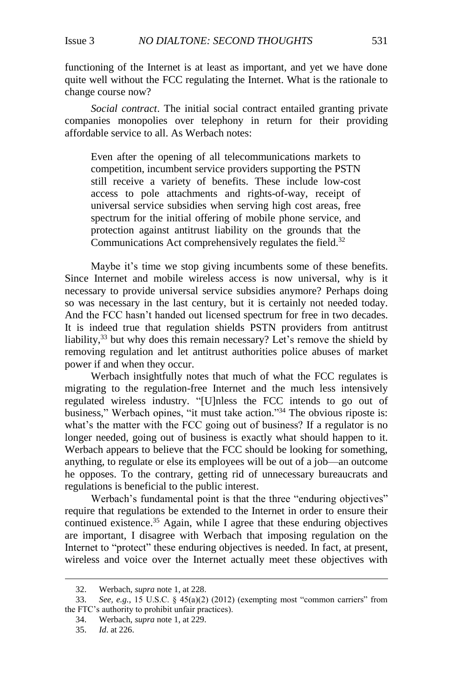functioning of the Internet is at least as important, and yet we have done quite well without the FCC regulating the Internet. What is the rationale to change course now?

*Social contract*. The initial social contract entailed granting private companies monopolies over telephony in return for their providing affordable service to all. As Werbach notes:

Even after the opening of all telecommunications markets to competition, incumbent service providers supporting the PSTN still receive a variety of benefits. These include low-cost access to pole attachments and rights-of-way, receipt of universal service subsidies when serving high cost areas, free spectrum for the initial offering of mobile phone service, and protection against antitrust liability on the grounds that the Communications Act comprehensively regulates the field.<sup>32</sup>

Maybe it's time we stop giving incumbents some of these benefits. Since Internet and mobile wireless access is now universal, why is it necessary to provide universal service subsidies anymore? Perhaps doing so was necessary in the last century, but it is certainly not needed today. And the FCC hasn't handed out licensed spectrum for free in two decades. It is indeed true that regulation shields PSTN providers from antitrust liability,<sup>33</sup> but why does this remain necessary? Let's remove the shield by removing regulation and let antitrust authorities police abuses of market power if and when they occur.

Werbach insightfully notes that much of what the FCC regulates is migrating to the regulation-free Internet and the much less intensively regulated wireless industry. "[U]nless the FCC intends to go out of business," Werbach opines, "it must take action." <sup>34</sup> The obvious riposte is: what's the matter with the FCC going out of business? If a regulator is no longer needed, going out of business is exactly what should happen to it. Werbach appears to believe that the FCC should be looking for something, anything, to regulate or else its employees will be out of a job—an outcome he opposes. To the contrary, getting rid of unnecessary bureaucrats and regulations is beneficial to the public interest.

Werbach's fundamental point is that the three "enduring objectives" require that regulations be extended to the Internet in order to ensure their continued existence. <sup>35</sup> Again, while I agree that these enduring objectives are important, I disagree with Werbach that imposing regulation on the Internet to "protect" these enduring objectives is needed. In fact, at present, wireless and voice over the Internet actually meet these objectives with

<sup>32.</sup> Werbach, *supra* note [1,](#page-1-2) at 228.

<sup>33.</sup> *See, e.g.*, 15 U.S.C. § 45(a)(2) (2012) (exempting most "common carriers" from the FTC's authority to prohibit unfair practices).

<sup>34.</sup> Werbach, *supra* note [1,](#page-1-2) at 229.

<sup>35.</sup> *Id*. at 226.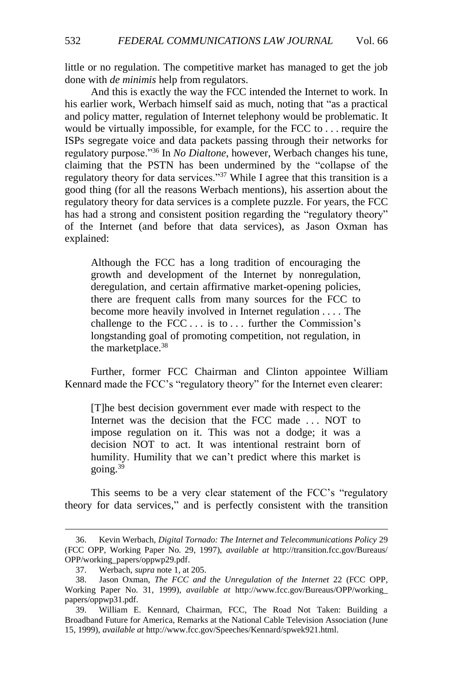little or no regulation. The competitive market has managed to get the job done with *de minimis* help from regulators.

And this is exactly the way the FCC intended the Internet to work. In his earlier work, Werbach himself said as much, noting that "as a practical and policy matter, regulation of Internet telephony would be problematic. It would be virtually impossible, for example, for the FCC to . . . require the ISPs segregate voice and data packets passing through their networks for regulatory purpose."<sup>36</sup> In *No Dialtone*, however, Werbach changes his tune, claiming that the PSTN has been undermined by the "collapse of the regulatory theory for data services."<sup>37</sup> While I agree that this transition is a good thing (for all the reasons Werbach mentions), his assertion about the regulatory theory for data services is a complete puzzle. For years, the FCC has had a strong and consistent position regarding the "regulatory theory" of the Internet (and before that data services), as Jason Oxman has explained:

Although the FCC has a long tradition of encouraging the growth and development of the Internet by nonregulation, deregulation, and certain affirmative market-opening policies, there are frequent calls from many sources for the FCC to become more heavily involved in Internet regulation . . . . The challenge to the  $FCC \dots$  is to  $\dots$  further the Commission's longstanding goal of promoting competition, not regulation, in the marketplace.<sup>38</sup>

Further, former FCC Chairman and Clinton appointee William Kennard made the FCC's "regulatory theory" for the Internet even clearer:

[T]he best decision government ever made with respect to the Internet was the decision that the FCC made . . . NOT to impose regulation on it. This was not a dodge; it was a decision NOT to act. It was intentional restraint born of humility. Humility that we can't predict where this market is going. $39$ 

This seems to be a very clear statement of the FCC's "regulatory theory for data services," and is perfectly consistent with the transition

<sup>36.</sup> Kevin Werbach, *Digital Tornado: The Internet and Telecommunications Policy* 29 (FCC OPP, Working Paper No. 29, 1997), *available at* http://transition.fcc.gov/Bureaus/ OPP/working\_papers/oppwp29.pdf.

<sup>37.</sup> Werbach, *supra* note [1,](#page-1-2) at 205.

<sup>38.</sup> Jason Oxman, *The FCC and the Unregulation of the Internet* 22 (FCC OPP, Working Paper No. 31, 1999), *available at* http://www.fcc.gov/Bureaus/OPP/working\_ papers/oppwp31.pdf.

<sup>39.</sup> William E. Kennard, Chairman, FCC, The Road Not Taken: Building a Broadband Future for America, Remarks at the National Cable Television Association (June 15, 1999), *available at* [http://www.fcc.gov/Speeches/Kennard/spwek921.html.](http://www.fcc.gov/Speeches/Kennard/spwek921.html)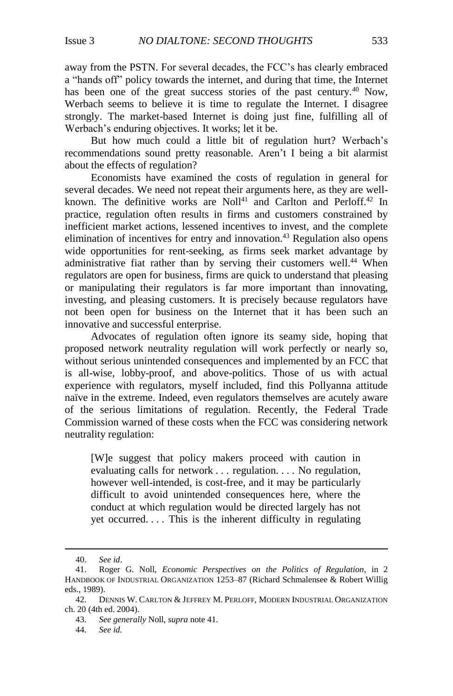away from the PSTN. For several decades, the FCC's has clearly embraced a "hands off" policy towards the internet, and during that time, the Internet has been one of the great success stories of the past century.<sup>40</sup> Now, Werbach seems to believe it is time to regulate the Internet. I disagree strongly. The market-based Internet is doing just fine, fulfilling all of Werbach's enduring objectives. It works; let it be.

But how much could a little bit of regulation hurt? Werbach's recommendations sound pretty reasonable. Aren't I being a bit alarmist about the effects of regulation?

<span id="page-8-0"></span>Economists have examined the costs of regulation in general for several decades. We need not repeat their arguments here, as they are wellknown. The definitive works are Noll<sup>41</sup> and Carlton and Perloff.<sup>42</sup> In practice, regulation often results in firms and customers constrained by inefficient market actions, lessened incentives to invest, and the complete elimination of incentives for entry and innovation.<sup>43</sup> Regulation also opens wide opportunities for rent-seeking, as firms seek market advantage by administrative fiat rather than by serving their customers well.<sup>44</sup> When regulators are open for business, firms are quick to understand that pleasing or manipulating their regulators is far more important than innovating, investing, and pleasing customers. It is precisely because regulators have not been open for business on the Internet that it has been such an innovative and successful enterprise.

Advocates of regulation often ignore its seamy side, hoping that proposed network neutrality regulation will work perfectly or nearly so, without serious unintended consequences and implemented by an FCC that is all-wise, lobby-proof, and above-politics. Those of us with actual experience with regulators, myself included, find this Pollyanna attitude naïve in the extreme. Indeed, even regulators themselves are acutely aware of the serious limitations of regulation. Recently, the Federal Trade Commission warned of these costs when the FCC was considering network neutrality regulation:

[W]e suggest that policy makers proceed with caution in evaluating calls for network . . . regulation. . . . No regulation, however well-intended, is cost-free, and it may be particularly difficult to avoid unintended consequences here, where the conduct at which regulation would be directed largely has not yet occurred. . . . This is the inherent difficulty in regulating

<sup>40.</sup> *See id*.

<sup>41.</sup> Roger G. Noll, *Economic Perspectives on the Politics of Regulation*, in 2 HANDBOOK OF INDUSTRIAL ORGANIZATION 1253–87 (Richard Schmalensee & Robert Willig eds., 1989).

<sup>42.</sup> DENNIS W. CARLTON & JEFFREY M. PERLOFF, MODERN INDUSTRIAL ORGANIZATION ch. 20 (4th ed. 2004).

<sup>43.</sup> *See generally* Noll, *supra* not[e 41.](#page-8-0)

<sup>44.</sup> *See id.*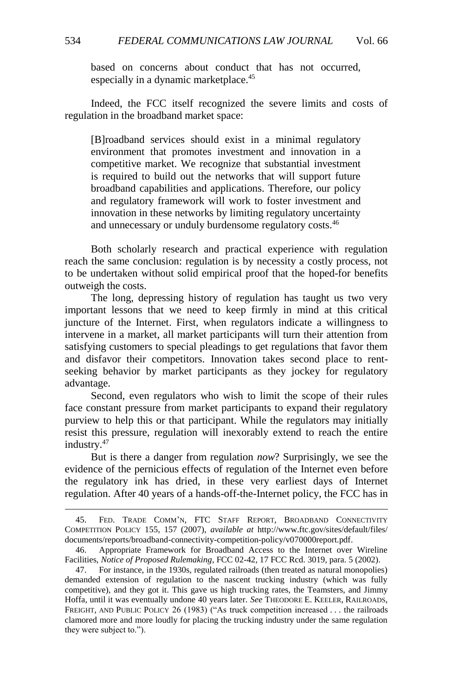based on concerns about conduct that has not occurred, especially in a dynamic marketplace.<sup>45</sup>

Indeed, the FCC itself recognized the severe limits and costs of regulation in the broadband market space:

[B]roadband services should exist in a minimal regulatory environment that promotes investment and innovation in a competitive market. We recognize that substantial investment is required to build out the networks that will support future broadband capabilities and applications. Therefore, our policy and regulatory framework will work to foster investment and innovation in these networks by limiting regulatory uncertainty and unnecessary or unduly burdensome regulatory costs.<sup>46</sup>

Both scholarly research and practical experience with regulation reach the same conclusion: regulation is by necessity a costly process, not to be undertaken without solid empirical proof that the hoped-for benefits outweigh the costs.

The long, depressing history of regulation has taught us two very important lessons that we need to keep firmly in mind at this critical juncture of the Internet. First, when regulators indicate a willingness to intervene in a market, all market participants will turn their attention from satisfying customers to special pleadings to get regulations that favor them and disfavor their competitors. Innovation takes second place to rentseeking behavior by market participants as they jockey for regulatory advantage.

Second, even regulators who wish to limit the scope of their rules face constant pressure from market participants to expand their regulatory purview to help this or that participant. While the regulators may initially resist this pressure, regulation will inexorably extend to reach the entire industry.<sup>47</sup>

But is there a danger from regulation *now*? Surprisingly, we see the evidence of the pernicious effects of regulation of the Internet even before the regulatory ink has dried, in these very earliest days of Internet regulation. After 40 years of a hands-off-the-Internet policy, the FCC has in

<sup>45.</sup> FED. TRADE COMM'N, FTC STAFF REPORT, BROADBAND CONNECTIVITY COMPETITION POLICY 155, 157 (2007), *available at* http://www.ftc.gov/sites/default/files/ documents/reports/broadband-connectivity-competition-policy/v070000report.pdf.

<sup>46.</sup> Appropriate Framework for Broadband Access to the Internet over Wireline Facilities, *Notice of Proposed Rulemaking*, FCC 02-42, 17 FCC Rcd. 3019, para. 5 (2002).

<sup>47.</sup> For instance, in the 1930s, regulated railroads (then treated as natural monopolies) demanded extension of regulation to the nascent trucking industry (which was fully competitive), and they got it. This gave us high trucking rates, the Teamsters, and Jimmy Hoffa, until it was eventually undone 40 years later. *See* THEODORE E. KEELER, RAILROADS, FREIGHT, AND PUBLIC POLICY 26 (1983) ("As truck competition increased . . . the railroads clamored more and more loudly for placing the trucking industry under the same regulation they were subject to.").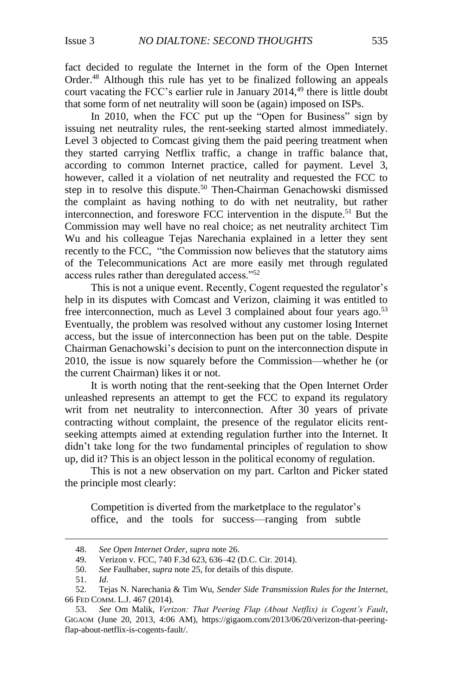fact decided to regulate the Internet in the form of the Open Internet Order. <sup>48</sup> Although this rule has yet to be finalized following an appeals court vacating the FCC's earlier rule in January 2014, <sup>49</sup> there is little doubt that some form of net neutrality will soon be (again) imposed on ISPs.

In 2010, when the FCC put up the "Open for Business" sign by issuing net neutrality rules, the rent-seeking started almost immediately. Level 3 objected to Comcast giving them the paid peering treatment when they started carrying Netflix traffic, a change in traffic balance that, according to common Internet practice, called for payment. Level 3, however, called it a violation of net neutrality and requested the FCC to step in to resolve this dispute.<sup>50</sup> Then-Chairman Genachowski dismissed the complaint as having nothing to do with net neutrality, but rather interconnection, and foreswore FCC intervention in the dispute. <sup>51</sup> But the Commission may well have no real choice; as net neutrality architect Tim Wu and his colleague Tejas Narechania explained in a letter they sent recently to the FCC, "the Commission now believes that the statutory aims of the Telecommunications Act are more easily met through regulated access rules rather than deregulated access."<sup>52</sup>

This is not a unique event. Recently, Cogent requested the regulator's help in its disputes with Comcast and Verizon, claiming it was entitled to free interconnection, much as Level 3 complained about four years ago.<sup>53</sup> Eventually, the problem was resolved without any customer losing Internet access, but the issue of interconnection has been put on the table. Despite Chairman Genachowski's decision to punt on the interconnection dispute in 2010, the issue is now squarely before the Commission—whether he (or the current Chairman) likes it or not.

It is worth noting that the rent-seeking that the Open Internet Order unleashed represents an attempt to get the FCC to expand its regulatory writ from net neutrality to interconnection. After 30 years of private contracting without complaint, the presence of the regulator elicits rentseeking attempts aimed at extending regulation further into the Internet. It didn't take long for the two fundamental principles of regulation to show up, did it? This is an object lesson in the political economy of regulation.

This is not a new observation on my part. Carlton and Picker stated the principle most clearly:

Competition is diverted from the marketplace to the regulator's office, and the tools for success—ranging from subtle

<sup>48.</sup> *See Open Internet Order*, *supra* not[e 26.](#page-5-1)

<sup>49.</sup> Verizon v. FCC, 740 F.3d 623, 636–42 (D.C. Cir. 2014).

<sup>50.</sup> *See* Faulhaber, *supra* note [25,](#page-5-0) for details of this dispute.

<sup>51.</sup> *Id*.

<sup>52.</sup> Tejas N. Narechania & Tim Wu, *Sender Side Transmission Rules for the Internet*, 66 FED COMM. L.J. 467 (2014).

<sup>53.</sup> *See* Om Malik, *Verizon: That Peering Flap (About Netflix) is Cogent's Fault*, GIGAOM (June 20, 2013, 4:06 AM), https://gigaom.com/2013/06/20/verizon-that-peeringflap-about-netflix-is-cogents-fault/.